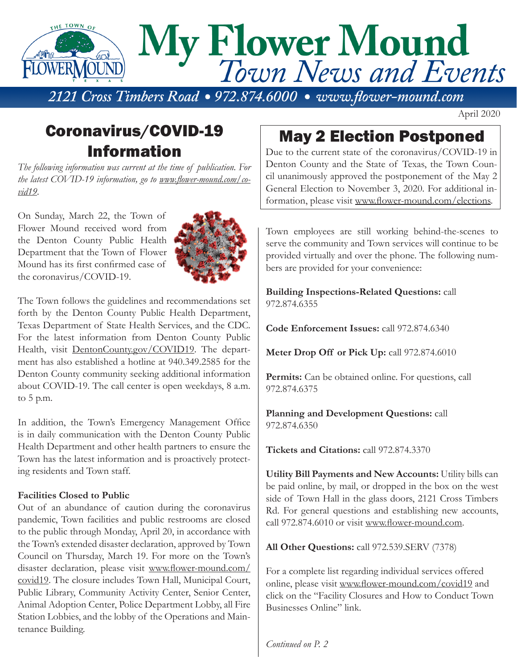

April 2020

# Coronavirus/COVID-19 Information

*The following information was current at the time of publication. For the latest COVID-19 information, go to www.flower-mound.com/covid19.*

On Sunday, March 22, the Town of Flower Mound received word from the Denton County Public Health Department that the Town of Flower Mound has its first confirmed case of the coronavirus/COVID-19.



The Town follows the guidelines and recommendations set forth by the Denton County Public Health Department, Texas Department of State Health Services, and the CDC. For the latest information from Denton County Public Health, visit DentonCounty.gov/COVID19. The department has also established a hotline at 940.349.2585 for the Denton County community seeking additional information about COVID-19. The call center is open weekdays, 8 a.m. to 5 p.m.

In addition, the Town's Emergency Management Office is in daily communication with the Denton County Public Health Department and other health partners to ensure the Town has the latest information and is proactively protecting residents and Town staff.

#### **Facilities Closed to Public**

Out of an abundance of caution during the coronavirus pandemic, Town facilities and public restrooms are closed to the public through Monday, April 20, in accordance with the Town's extended disaster declaration, approved by Town Council on Thursday, March 19. For more on the Town's disaster declaration, please visit www.flower-mound.com/ covid19. The closure includes Town Hall, Municipal Court, Public Library, Community Activity Center, Senior Center, Animal Adoption Center, Police Department Lobby, all Fire Station Lobbies, and the lobby of the Operations and Maintenance Building.

### May 2 Election Postponed

Due to the current state of the coronavirus/COVID-19 in Denton County and the State of Texas, the Town Council unanimously approved the postponement of the May 2 General Election to November 3, 2020. For additional information, please visit www.flower-mound.com/elections.

Town employees are still working behind-the-scenes to serve the community and Town services will continue to be provided virtually and over the phone. The following numbers are provided for your convenience:

**Building Inspections-Related Questions:** call 972.874.6355

**Code Enforcement Issues:** call 972.874.6340

**Meter Drop Off or Pick Up:** call 972.874.6010

Permits: Can be obtained online. For questions, call 972.874.6375

**Planning and Development Questions:** call 972.874.6350

**Tickets and Citations:** call 972.874.3370

**Utility Bill Payments and New Accounts:** Utility bills can be paid online, by mail, or dropped in the box on the west side of Town Hall in the glass doors, 2121 Cross Timbers Rd. For general questions and establishing new accounts, call 972.874.6010 or visit www.flower-mound.com.

**All Other Questions:** call 972.539.SERV (7378)

For a complete list regarding individual services offered online, please visit www.flower-mound.com/covid19 and click on the "Facility Closures and How to Conduct Town Businesses Online" link.

*Continued on P. 2*